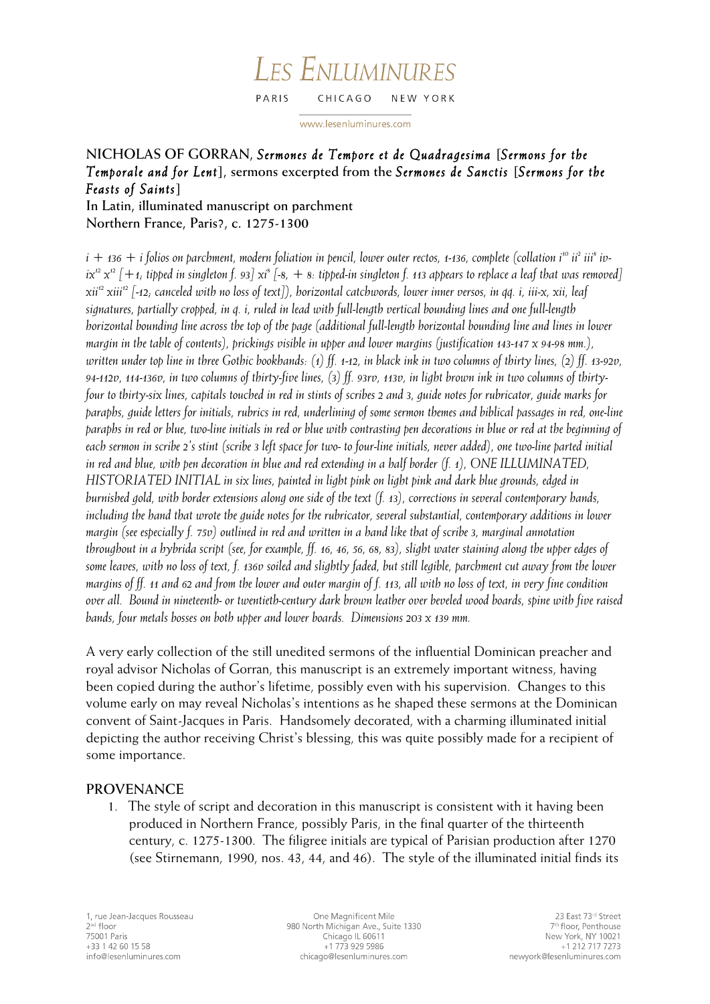#### LES ENLUMINURES PARIS CHICAGO NEW YORK

www.lesenluminures.com

# **NICHOLAS OF GORRAN,** *Sermones de Tempore et de Quadragesima* **[***Sermons for the Temporale and for Lent***], sermons excerpted from the** *Sermones de Sanctis* **[***Sermons for the Feasts of Saints***]**

**In Latin, illuminated manuscript on parchment Northern France, Paris?, c. 1275-1300**

*i* + 136 + *i* folios on parchment, modern foliation in pencil, lower outer rectos, 1-136, complete (collation *i*<sup>10</sup> *ii*<sup>2</sup> *iii*<sup>8</sup> *iv* $ix^{12}x^{12}$   $[+1,$  tipped in singleton f. 93]  $xi^{8}$   $[+8, +8.$  tipped-in singleton f. 113 appears to replace a leaf that was removed] *xii12 xiii12 [-12; canceled with no loss of text]), horizontal catchwords, lower inner versos, in qq. i, iii-x, xii, leaf signatures, partially cropped, in q. i, ruled in lead with full-length vertical bounding lines and one full-length horizontal bounding line across the top of the page (additional full-length horizontal bounding line and lines in lower margin in the table of contents), prickings visible in upper and lower margins (justification 143-147 x 94-98 mm.), written under top line in three Gothic bookhands: (1) ff. 1-12, in black ink in two columns of thirty lines, (2) ff. 13-92v, 94-112v, 114-136v, in two columns of thirty-five lines, (3) ff. 93rv, 113v, in light brown ink in two columns of thirtyfour to thirty-six lines, capitals touched in red in stints of scribes 2 and 3, guide notes for rubricator, guide marks for paraphs, guide letters for initials, rubrics in red, underlining of some sermon themes and biblical passages in red, one-line paraphs in red or blue, two-line initials in red or blue with contrasting pen decorations in blue or red at the beginning of each sermon in scribe 2's stint (scribe 3 left space for two- to four-line initials, never added), one two-line parted initial in red and blue, with pen decoration in blue and red extending in a half border (f. 1), ONE ILLUMINATED, HISTORIATED INITIAL in six lines, painted in light pink on light pink and dark blue grounds, edged in burnished gold, with border extensions along one side of the text (f. 13), corrections in several contemporary hands, including the hand that wrote the guide notes for the rubricator, several substantial, contemporary additions in lower margin (see especially f. 75v) outlined in red and written in a hand like that of scribe 3, marginal annotation throughout in a hybrida script (see, for example, ff. 16, 46, 56, 68, 83), slight water staining along the upper edges of some leaves, with no loss of text, f. 136v soiled and slightly faded, but still legible, parchment cut away from the lower margins of ff. 11 and 62 and from the lower and outer margin of f. 113, all with no loss of text, in very fine condition over all. Bound in nineteenth- or twentieth-century dark brown leather over beveled wood boards, spine with five raised bands, four metals bosses on both upper and lower boards. Dimensions 203 x 139 mm.*

A very early collection of the still unedited sermons of the influential Dominican preacher and royal advisor Nicholas of Gorran, this manuscript is an extremely important witness, having been copied during the author's lifetime, possibly even with his supervision. Changes to this volume early on may reveal Nicholas's intentions as he shaped these sermons at the Dominican convent of Saint-Jacques in Paris. Handsomely decorated, with a charming illuminated initial depicting the author receiving Christ's blessing, this was quite possibly made for a recipient of some importance.

### **PROVENANCE**

1. The style of script and decoration in this manuscript is consistent with it having been produced in Northern France, possibly Paris, in the final quarter of the thirteenth century, c. 1275-1300. The filigree initials are typical of Parisian production after 1270 (see Stirnemann, 1990, nos. 43, 44, and 46). The style of the illuminated initial finds its

One Magnificent Mile 980 North Michigan Ave., Suite 1330 Chicago IL 60611 +1 773 929 5986 chicago@lesenluminures.com

23 East 73rd Street 7<sup>th</sup> floor, Penthouse New York, NY 10021 +1 212 717 7273 newyork@lesenluminures.com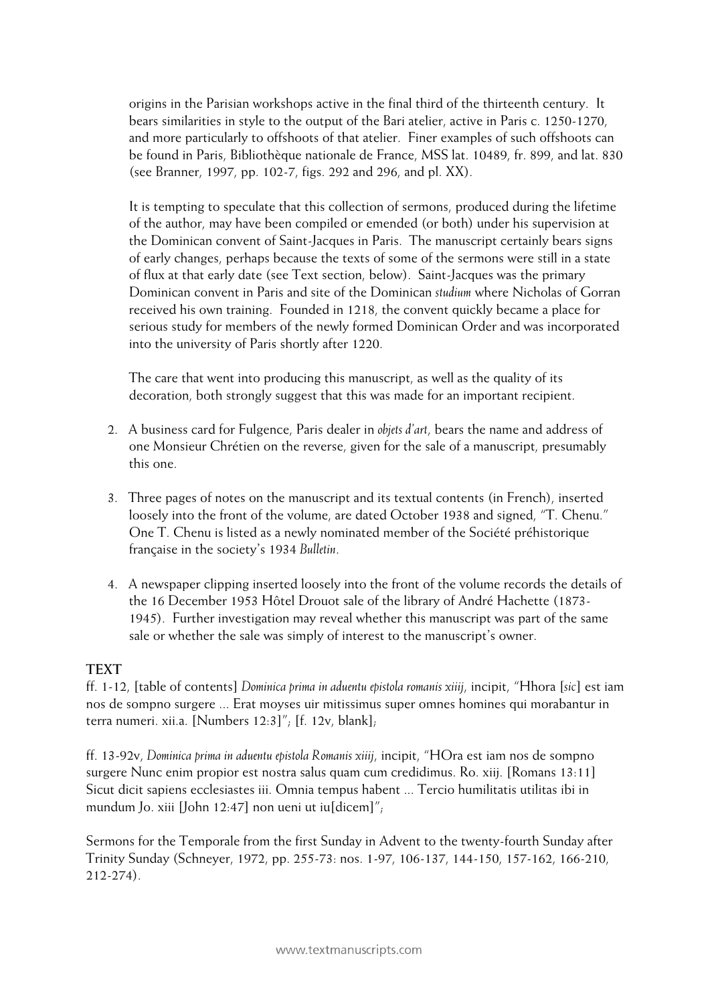origins in the Parisian workshops active in the final third of the thirteenth century. It bears similarities in style to the output of the Bari atelier, active in Paris c. 1250-1270, and more particularly to offshoots of that atelier. Finer examples of such offshoots can be found in Paris, Bibliothèque nationale de France, MSS lat. 10489, fr. 899, and lat. 830 (see Branner, 1997, pp. 102-7, figs. 292 and 296, and pl. XX).

It is tempting to speculate that this collection of sermons, produced during the lifetime of the author, may have been compiled or emended (or both) under his supervision at the Dominican convent of Saint-Jacques in Paris. The manuscript certainly bears signs of early changes, perhaps because the texts of some of the sermons were still in a state of flux at that early date (see Text section, below). Saint-Jacques was the primary Dominican convent in Paris and site of the Dominican *studium* where Nicholas of Gorran received his own training. Founded in 1218, the convent quickly became a place for serious study for members of the newly formed Dominican Order and was incorporated into the university of Paris shortly after 1220.

The care that went into producing this manuscript, as well as the quality of its decoration, both strongly suggest that this was made for an important recipient.

- 2. A business card for Fulgence, Paris dealer in *objets d'art*, bears the name and address of one Monsieur Chrétien on the reverse, given for the sale of a manuscript, presumably this one.
- 3. Three pages of notes on the manuscript and its textual contents (in French), inserted loosely into the front of the volume, are dated October 1938 and signed, "T. Chenu." One T. Chenu is listed as a newly nominated member of the Société préhistorique française in the society's 1934 *Bulletin*.
- 4. A newspaper clipping inserted loosely into the front of the volume records the details of the 16 December 1953 Hôtel Drouot sale of the library of André Hachette (1873- 1945). Further investigation may reveal whether this manuscript was part of the same sale or whether the sale was simply of interest to the manuscript's owner.

### **TEXT**

ff. 1-12, [table of contents] *Dominica prima in aduentu epistola romanis xiiij*, incipit, "Hhora [*sic*] est iam nos de sompno surgere ... Erat moyses uir mitissimus super omnes homines qui morabantur in terra numeri. xii.a. [Numbers 12:3]"; [f. 12v, blank];

ff. 13-92v, *Dominica prima in aduentu epistola Romanis xiiij*, incipit, "HOra est iam nos de sompno surgere Nunc enim propior est nostra salus quam cum credidimus. Ro. xiij. [Romans 13:11] Sicut dicit sapiens ecclesiastes iii. Omnia tempus habent ... Tercio humilitatis utilitas ibi in mundum Jo. xiii [John 12:47] non ueni ut iu[dicem]";

Sermons for the Temporale from the first Sunday in Advent to the twenty-fourth Sunday after Trinity Sunday (Schneyer, 1972, pp. 255-73: nos. 1-97, 106-137, 144-150, 157-162, 166-210, 212-274).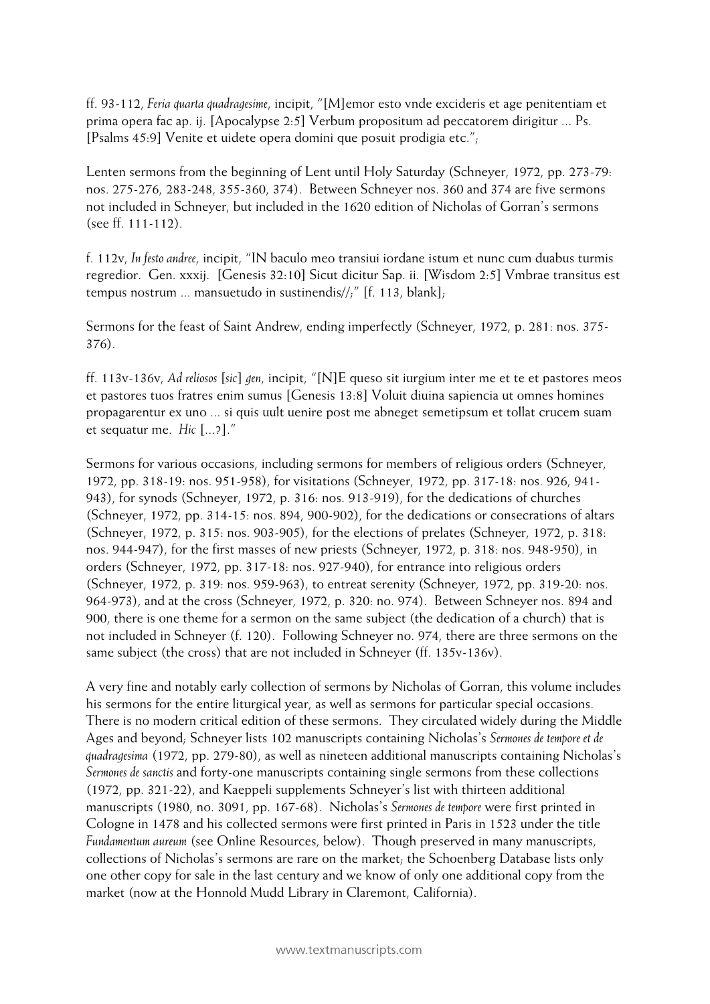ff. 93-112, *Feria quarta quadragesime*, incipit, "[M]emor esto vnde excideris et age penitentiam et prima opera fac ap. ij. [Apocalypse 2:5] Verbum propositum ad peccatorem dirigitur ... Ps. [Psalms 45:9] Venite et uidete opera domini que posuit prodigia etc.";

Lenten sermons from the beginning of Lent until Holy Saturday (Schneyer, 1972, pp. 273-79: nos. 275-276, 283-248, 355-360, 374). Between Schneyer nos. 360 and 374 are five sermons not included in Schneyer, but included in the 1620 edition of Nicholas of Gorran's sermons (see ff. 111-112).

f. 112v, *In festo andree*, incipit, "IN baculo meo transiui iordane istum et nunc cum duabus turmis regredior. Gen. xxxij. [Genesis 32:10] Sicut dicitur Sap. ii. [Wisdom 2:5] Vmbrae transitus est tempus nostrum ... mansuetudo in sustinendis//;" [f. 113, blank];

Sermons for the feast of Saint Andrew, ending imperfectly (Schneyer, 1972, p. 281: nos. 375- 376).

ff. 113v-136v, *Ad reliosos* [*sic*] *gen*, incipit, "[N]E queso sit iurgium inter me et te et pastores meos et pastores tuos fratres enim sumus [Genesis 13:8] Voluit diuina sapiencia ut omnes homines propagarentur ex uno ... si quis uult uenire post me abneget semetipsum et tollat crucem suam et sequatur me. *Hic* [...?]."

Sermons for various occasions, including sermons for members of religious orders (Schneyer, 1972, pp. 318-19: nos. 951-958), for visitations (Schneyer, 1972, pp. 317-18: nos. 926, 941- 943), for synods (Schneyer, 1972, p. 316: nos. 913-919), for the dedications of churches (Schneyer, 1972, pp. 314-15: nos. 894, 900-902), for the dedications or consecrations of altars (Schneyer, 1972, p. 315: nos. 903-905), for the elections of prelates (Schneyer, 1972, p. 318: nos. 944-947), for the first masses of new priests (Schneyer, 1972, p. 318: nos. 948-950), in orders (Schneyer, 1972, pp. 317-18: nos. 927-940), for entrance into religious orders (Schneyer, 1972, p. 319: nos. 959-963), to entreat serenity (Schneyer, 1972, pp. 319-20: nos. 964-973), and at the cross (Schneyer, 1972, p. 320: no. 974). Between Schneyer nos. 894 and 900, there is one theme for a sermon on the same subject (the dedication of a church) that is not included in Schneyer (f. 120). Following Schneyer no. 974, there are three sermons on the same subject (the cross) that are not included in Schneyer (ff. 135v-136v).

A very fine and notably early collection of sermons by Nicholas of Gorran, this volume includes his sermons for the entire liturgical year, as well as sermons for particular special occasions. There is no modern critical edition of these sermons. They circulated widely during the Middle Ages and beyond; Schneyer lists 102 manuscripts containing Nicholas's *Sermones de tempore et de quadragesima* (1972, pp. 279-80), as well as nineteen additional manuscripts containing Nicholas's *Sermones de sanctis* and forty-one manuscripts containing single sermons from these collections (1972, pp. 321-22), and Kaeppeli supplements Schneyer's list with thirteen additional manuscripts (1980, no. 3091, pp. 167-68). Nicholas's *Sermones de tempore* were first printed in Cologne in 1478 and his collected sermons were first printed in Paris in 1523 under the title *Fundamentum aureum* (see Online Resources, below). Though preserved in many manuscripts, collections of Nicholas's sermons are rare on the market; the Schoenberg Database lists only one other copy for sale in the last century and we know of only one additional copy from the market (now at the Honnold Mudd Library in Claremont, California).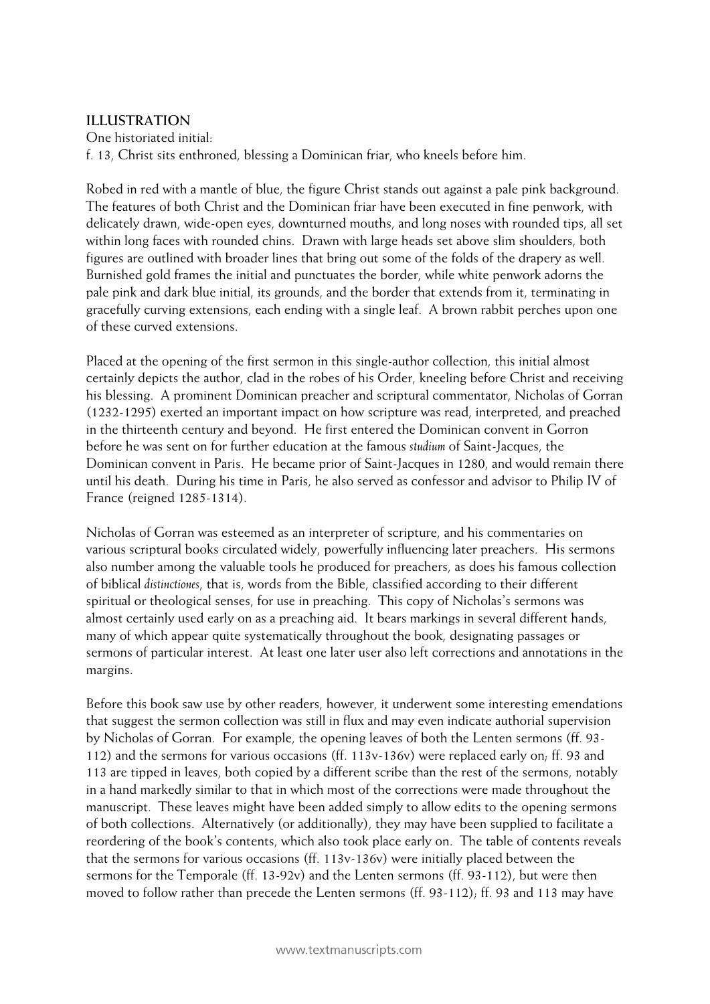# **ILLUSTRATION**

One historiated initial: f. 13, Christ sits enthroned, blessing a Dominican friar, who kneels before him.

Robed in red with a mantle of blue, the figure Christ stands out against a pale pink background. The features of both Christ and the Dominican friar have been executed in fine penwork, with delicately drawn, wide-open eyes, downturned mouths, and long noses with rounded tips, all set within long faces with rounded chins. Drawn with large heads set above slim shoulders, both figures are outlined with broader lines that bring out some of the folds of the drapery as well. Burnished gold frames the initial and punctuates the border, while white penwork adorns the pale pink and dark blue initial, its grounds, and the border that extends from it, terminating in gracefully curving extensions, each ending with a single leaf. A brown rabbit perches upon one of these curved extensions.

Placed at the opening of the first sermon in this single-author collection, this initial almost certainly depicts the author, clad in the robes of his Order, kneeling before Christ and receiving his blessing. A prominent Dominican preacher and scriptural commentator, Nicholas of Gorran (1232-1295) exerted an important impact on how scripture was read, interpreted, and preached in the thirteenth century and beyond. He first entered the Dominican convent in Gorron before he was sent on for further education at the famous *studium* of Saint-Jacques, the Dominican convent in Paris. He became prior of Saint-Jacques in 1280, and would remain there until his death. During his time in Paris, he also served as confessor and advisor to Philip IV of France (reigned 1285-1314).

Nicholas of Gorran was esteemed as an interpreter of scripture, and his commentaries on various scriptural books circulated widely, powerfully influencing later preachers. His sermons also number among the valuable tools he produced for preachers, as does his famous collection of biblical *distinctiones*, that is, words from the Bible, classified according to their different spiritual or theological senses, for use in preaching. This copy of Nicholas's sermons was almost certainly used early on as a preaching aid. It bears markings in several different hands, many of which appear quite systematically throughout the book, designating passages or sermons of particular interest. At least one later user also left corrections and annotations in the margins.

Before this book saw use by other readers, however, it underwent some interesting emendations that suggest the sermon collection was still in flux and may even indicate authorial supervision by Nicholas of Gorran. For example, the opening leaves of both the Lenten sermons (ff. 93- 112) and the sermons for various occasions (ff. 113v-136v) were replaced early on; ff. 93 and 113 are tipped in leaves, both copied by a different scribe than the rest of the sermons, notably in a hand markedly similar to that in which most of the corrections were made throughout the manuscript. These leaves might have been added simply to allow edits to the opening sermons of both collections. Alternatively (or additionally), they may have been supplied to facilitate a reordering of the book's contents, which also took place early on. The table of contents reveals that the sermons for various occasions (ff. 113v-136v) were initially placed between the sermons for the Temporale (ff. 13-92v) and the Lenten sermons (ff. 93-112), but were then moved to follow rather than precede the Lenten sermons (ff. 93-112); ff. 93 and 113 may have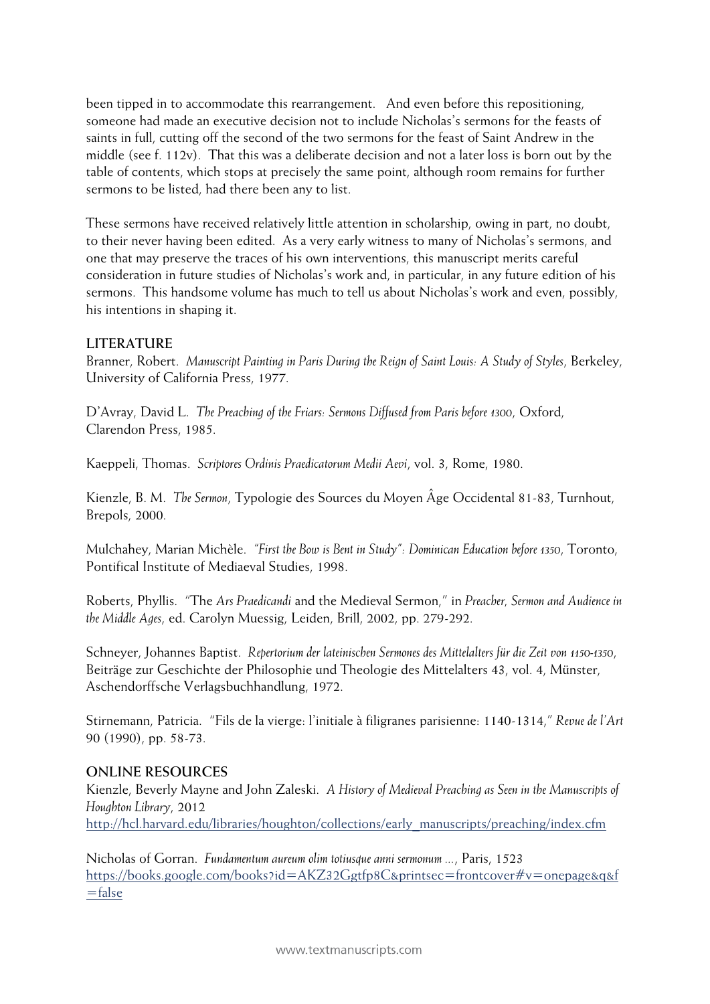been tipped in to accommodate this rearrangement. And even before this repositioning, someone had made an executive decision not to include Nicholas's sermons for the feasts of saints in full, cutting off the second of the two sermons for the feast of Saint Andrew in the middle (see f. 112v). That this was a deliberate decision and not a later loss is born out by the table of contents, which stops at precisely the same point, although room remains for further sermons to be listed, had there been any to list.

These sermons have received relatively little attention in scholarship, owing in part, no doubt, to their never having been edited. As a very early witness to many of Nicholas's sermons, and one that may preserve the traces of his own interventions, this manuscript merits careful consideration in future studies of Nicholas's work and, in particular, in any future edition of his sermons. This handsome volume has much to tell us about Nicholas's work and even, possibly, his intentions in shaping it.

## **LITERATURE**

Branner, Robert. *Manuscript Painting in Paris During the Reign of Saint Louis: A Study of Styles*, Berkeley, University of California Press, 1977.

D'Avray, David L. *The Preaching of the Friars: Sermons Diffused from Paris before 1300*, Oxford, Clarendon Press, 1985.

Kaeppeli, Thomas. *Scriptores Ordinis Praedicatorum Medii Aevi*, vol. 3, Rome, 1980.

Kienzle, B. M. *The Sermon*, Typologie des Sources du Moyen Âge Occidental 81-83, Turnhout, Brepols, 2000.

Mulchahey, Marian Michèle. *"First the Bow is Bent in Study": Dominican Education before 1350*, Toronto, Pontifical Institute of Mediaeval Studies, 1998.

Roberts, Phyllis. "The *Ars Praedicandi* and the Medieval Sermon," in *Preacher, Sermon and Audience in the Middle Ages*, ed. Carolyn Muessig, Leiden, Brill, 2002, pp. 279-292.

Schneyer, Johannes Baptist. *Repertorium der lateinischen Sermones des Mittelalters für die Zeit von 1150-1350*, Beiträge zur Geschichte der Philosophie und Theologie des Mittelalters 43, vol. 4, Münster, Aschendorffsche Verlagsbuchhandlung, 1972.

Stirnemann, Patricia. "Fils de la vierge: l'initiale à filigranes parisienne: 1140-1314," *Revue de l'Art* 90 (1990), pp. 58-73.

### **ONLINE RESOURCES**

Kienzle, Beverly Mayne and John Zaleski. *A History of Medieval Preaching as Seen in the Manuscripts of Houghton Library*, 2012 http://hcl.harvard.edu/libraries/houghton/collections/early\_manuscripts/preaching/index.cfm

Nicholas of Gorran. *Fundamentum aureum olim totiusque anni sermonum ...*, Paris, 1523 https://books.google.com/books?id=AKZ32Ggtfp8C&printsec=frontcover#v=onepage&q&f =false